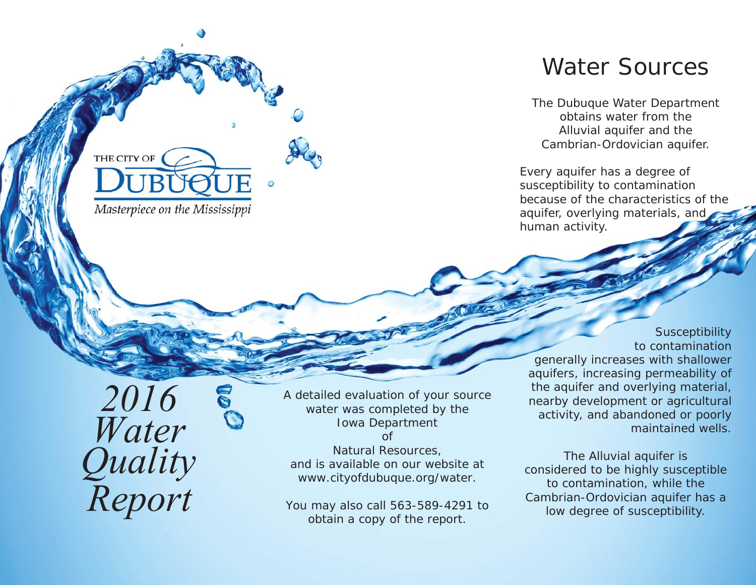# Water Sources

The Dubuque Water Department obtains water from the Alluvial aquifer and the Cambrian-Ordovician aquifer.

Every aquifer has a degree of susceptibility to contamination because of the characteristics of the aquifer, overlying materials, and human activity.

Water Quality Report 2016

THE CITY OF

Masterpiece on the Mississippi

*A detailed evaluation of your source water was completed by the Iowa Department*   $\int$ *Natural Resources, and is available on our website at www.cityofdubuque.org/water.* 

*You may also call 563-589-4291 to obtain a copy of the report.*

**Susceptibility** to contamination generally increases with shallower aquifers, increasing permeability of the aquifer and overlying material, nearby development or agricultural activity, and abandoned or poorly maintained wells.

The Alluvial aquifer is considered to be highly susceptible to contamination, while the Cambrian-Ordovician aquifer has a low degree of susceptibility.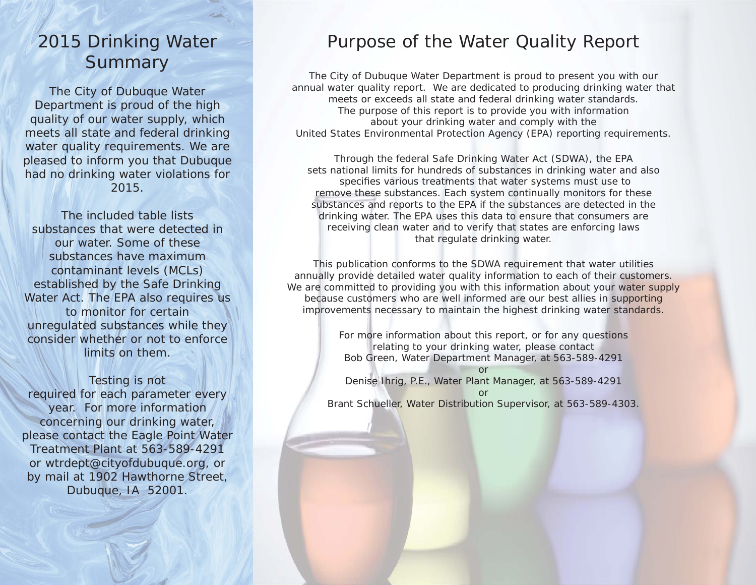# 2015 Drinking Water **Summary**

The City of Dubuque Water Department is proud of the high quality of our water supply, which meets all state and federal drinking water quality requirements. We are pleased to inform you that Dubuque had no drinking water violations for 2015.

The included table lists substances that were detected in our water. Some of these substances have maximum contaminant levels (MCLs) established by the Safe Drinking Water Act. The EPA also requires us to monitor for certain unregulated substances while they consider whether or not to enforce limits on them.

Testing is not required for each parameter every year. For more information concerning our drinking water, please contact the Eagle Point Water Treatment Plant at 563-589-4291 or wtrdept@cityofdubuque.org, or by mail at 1902 Hawthorne Street, Dubuque, IA 52001.

#### Purpose of the Water Quality Report

The City of Dubuque Water Department is proud to present you with our annual water quality report. We are dedicated to producing drinking water that meets or exceeds all state and federal drinking water standards. The purpose of this report is to provide you with information about your drinking water and comply with the United States Environmental Protection Agency (EPA) reporting requirements.

Through the federal Safe Drinking Water Act (SDWA), the EPA sets national limits for hundreds of substances in drinking water and also specifies various treatments that water systems must use to remove these substances. Each system continually monitors for these substances and reports to the EPA if the substances are detected in the drinking water. The EPA uses this data to ensure that consumers are receiving clean water and to verify that states are enforcing laws that regulate drinking water.

This publication conforms to the SDWA requirement that water utilities annually provide detailed water quality information to each of their customers. We are committed to providing you with this information about your water supply because customers who are well informed are our best allies in supporting improvements necessary to maintain the highest drinking water standards.

> For more information about this report, or for any questions relating to your drinking water, please contact Bob Green, Water Department Manager, at 563-589-4291

orDenise Ihrig, P.E., Water Plant Manager, at 563-589-4291 or Brant Schueller, Water Distribution Supervisor, at 563-589-4303.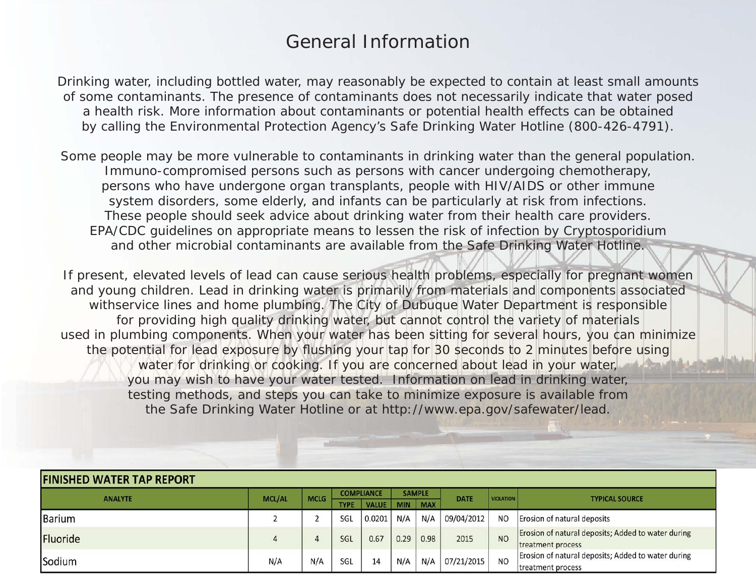### General Information

Drinking water, including bottled water, may reasonably be expected to contain at least small amounts of some contaminants. The presence of contaminants does not necessarily indicate that water posed a health risk. More information about contaminants or potential health effects can be obtained by calling the Environmental Protection Agency's Safe Drinking Water Hotline (800-426-4791).

Some people may be more vulnerable to contaminants in drinking water than the general population. Immuno-compromised persons such as persons with cancer undergoing chemotherapy, persons who have undergone organ transplants, people with HIV/AIDS or other immune system disorders, some elderly, and infants can be particularly at risk from infections. These people should seek advice about drinking water from their health care providers. EPA/CDC guidelines on appropriate means to lessen the risk of infection by Cryptosporidium and other microbial contaminants are available from the Safe Drinking Water Hotline.

If present, elevated levels of lead can cause serious health problems, especially for pregnant women and young children. Lead in drinking water is primarily from materials and components associated withservice lines and home plumbing. The City of Dubuque Water Department is responsible for providing high quality drinking water, but cannot control the variety of materials used in plumbing components. When your water has been sitting for several hours, you can minimize the potential for lead exposure by flushing your tap for 30 seconds to 2 minutes before using water for drinking or cooking. If you are concerned about lead in your water, you may wish to have your water tested. Information on lead in drinking water, testing methods, and steps you can take to minimize exposure is available from the Safe Drinking Water Hotline or at http://www.epa.gov/safewater/lead.

| <b>FINISHED WATER TAP REPORT</b> |                                                     |             |                   |                                                    |               |            |             |                  |                                                    |  |
|----------------------------------|-----------------------------------------------------|-------------|-------------------|----------------------------------------------------|---------------|------------|-------------|------------------|----------------------------------------------------|--|
| <b>ANALYTE</b>                   | <b>MCL/AL</b>                                       | <b>MCLG</b> | <b>COMPLIANCE</b> |                                                    | <b>SAMPLE</b> |            | <b>DATE</b> | <b>VIOLATION</b> | <b>TYPICAL SOURCE</b>                              |  |
|                                  |                                                     |             | <b>TYPE</b>       | <b>VALUE</b>                                       | <b>MIN</b>    | <b>MAX</b> |             |                  |                                                    |  |
| <b>Barium</b>                    |                                                     |             | SGL               | 0.0201                                             | N/A           | N/A        | 09/04/2012  | <b>NO</b>        | Erosion of natural deposits                        |  |
| Fluoride                         |                                                     |             | SGL               | 0.67                                               | 0.29          | 0.98       | 2015        | <b>NO</b>        | Erosion of natural deposits; Added to water during |  |
|                                  |                                                     |             |                   |                                                    |               |            |             |                  | treatment process                                  |  |
| Sodium                           | N/A<br>N/A<br>N/A<br>07/21/2015<br>N/A<br>SGL<br>14 |             | <b>NO</b>         | Erosion of natural deposits; Added to water during |               |            |             |                  |                                                    |  |
|                                  |                                                     |             |                   |                                                    |               |            |             |                  | treatment process                                  |  |